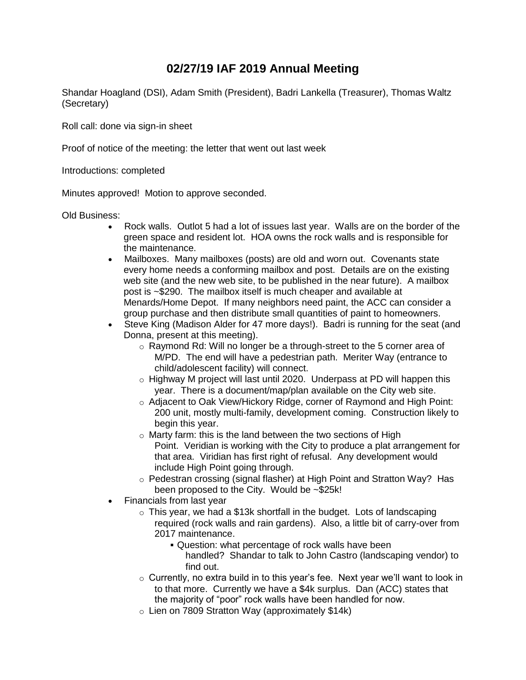## **02/27/19 IAF 2019 Annual Meeting**

Shandar Hoagland (DSI), Adam Smith (President), Badri Lankella (Treasurer), Thomas Waltz (Secretary)

Roll call: done via sign-in sheet

Proof of notice of the meeting: the letter that went out last week

Introductions: completed

Minutes approved! Motion to approve seconded.

Old Business:

- Rock walls. Outlot 5 had a lot of issues last year. Walls are on the border of the green space and resident lot. HOA owns the rock walls and is responsible for the maintenance.
- Mailboxes. Many mailboxes (posts) are old and worn out. Covenants state every home needs a conforming mailbox and post. Details are on the existing web site (and the new web site, to be published in the near future). A mailbox post is ~\$290. The mailbox itself is much cheaper and available at Menards/Home Depot. If many neighbors need paint, the ACC can consider a group purchase and then distribute small quantities of paint to homeowners.
- Steve King (Madison Alder for 47 more days!). Badri is running for the seat (and Donna, present at this meeting).
	- o Raymond Rd: Will no longer be a through-street to the 5 corner area of M/PD. The end will have a pedestrian path. Meriter Way (entrance to child/adolescent facility) will connect.
	- o Highway M project will last until 2020. Underpass at PD will happen this year. There is a document/map/plan available on the City web site.
	- o Adjacent to Oak View/Hickory Ridge, corner of Raymond and High Point: 200 unit, mostly multi-family, development coming. Construction likely to begin this year.
	- o Marty farm: this is the land between the two sections of High Point. Veridian is working with the City to produce a plat arrangement for that area. Viridian has first right of refusal. Any development would include High Point going through.
	- o Pedestran crossing (signal flasher) at High Point and Stratton Way? Has been proposed to the City. Would be ~\$25k!
- Financials from last year
	- $\circ$  This year, we had a \$13k shortfall in the budget. Lots of landscaping required (rock walls and rain gardens). Also, a little bit of carry-over from 2017 maintenance.
		- Question: what percentage of rock walls have been handled? Shandar to talk to John Castro (landscaping vendor) to find out.
	- $\circ$  Currently, no extra build in to this year's fee. Next year we'll want to look in to that more. Currently we have a \$4k surplus. Dan (ACC) states that the majority of "poor" rock walls have been handled for now.
	- $\circ$  Lien on 7809 Stratton Way (approximately \$14k)